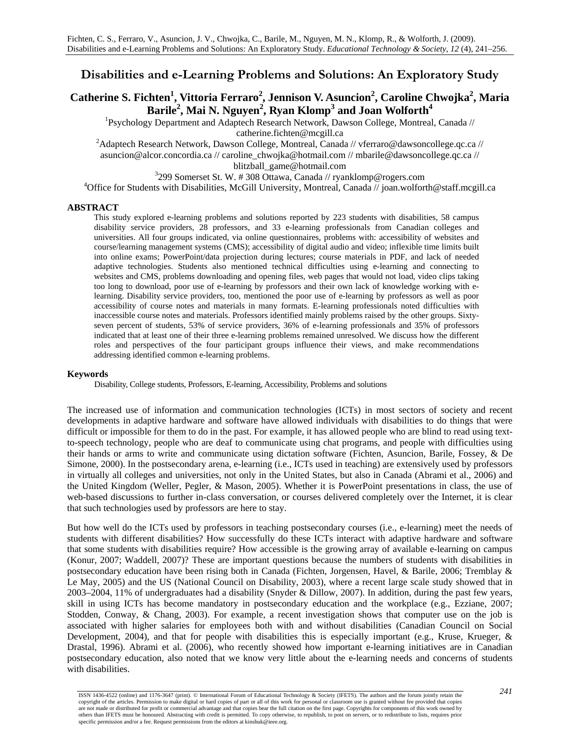# **Disabilities and e-Learning Problems and Solutions: An Exploratory Study**

# **Catherine S. Fichten<sup>1</sup>, Vittoria Ferraro<sup>2</sup>, Jennison V. Asuncion<sup>2</sup>, Caroline Chwojka<sup>2</sup>, Maria Barile2 , Mai N. Nguyen<sup>2</sup> , Ryan Klomp3 and Joan Wolforth<sup>4</sup>**

<sup>1</sup>Psychology Department and Adaptech Research Network, Dawson College, Montreal, Canada //

catherine.fichten@mcgill.ca<br><sup>2</sup>Adaptech Research Network, Dawson College, Montreal, Canada // vferraro@dawsoncollege.qc.ca // asuncion@alcor.concordia.ca // caroline\_chwojka@hotmail.com // mbarile@dawsoncollege.qc.ca // blitzball\_game@hotmail.com 3

<sup>3</sup>299 Somerset St. W. # 308 Ottawa, Canada // ryanklomp@rogers.com

<sup>4</sup>Office for Students with Disabilities, McGill University, Montreal, Canada // joan.wolforth@staff.mcgill.ca

#### **ABSTRACT**

This study explored e-learning problems and solutions reported by 223 students with disabilities, 58 campus disability service providers, 28 professors, and 33 e-learning professionals from Canadian colleges and universities. All four groups indicated, via online questionnaires, problems with: accessibility of websites and course/learning management systems (CMS); accessibility of digital audio and video; inflexible time limits built into online exams; PowerPoint/data projection during lectures; course materials in PDF, and lack of needed adaptive technologies. Students also mentioned technical difficulties using e-learning and connecting to websites and CMS, problems downloading and opening files, web pages that would not load, video clips taking too long to download, poor use of e-learning by professors and their own lack of knowledge working with elearning. Disability service providers, too, mentioned the poor use of e-learning by professors as well as poor accessibility of course notes and materials in many formats. E-learning professionals noted difficulties with inaccessible course notes and materials. Professors identified mainly problems raised by the other groups. Sixtyseven percent of students, 53% of service providers, 36% of e-learning professionals and 35% of professors indicated that at least one of their three e-learning problems remained unresolved. We discuss how the different roles and perspectives of the four participant groups influence their views, and make recommendations addressing identified common e-learning problems.

#### **Keywords**

Disability, College students, Professors, E-learning, Accessibility, Problems and solutions

The increased use of information and communication technologies (ICTs) in most sectors of society and recent developments in adaptive hardware and software have allowed individuals with disabilities to do things that were difficult or impossible for them to do in the past. For example, it has allowed people who are blind to read using textto-speech technology, people who are deaf to communicate using chat programs, and people with difficulties using their hands or arms to write and communicate using dictation software (Fichten, Asuncion, Barile, Fossey, & De Simone, 2000). In the postsecondary arena, e-learning (i.e., ICTs used in teaching) are extensively used by professors in virtually all colleges and universities, not only in the United States, but also in Canada (Abrami et al., 2006) and the United Kingdom (Weller, Pegler, & Mason, 2005). Whether it is PowerPoint presentations in class, the use of web-based discussions to further in-class conversation, or courses delivered completely over the Internet, it is clear that such technologies used by professors are here to stay.

But how well do the ICTs used by professors in teaching postsecondary courses (i.e., e-learning) meet the needs of students with different disabilities? How successfully do these ICTs interact with adaptive hardware and software that some students with disabilities require? How accessible is the growing array of available e-learning on campus (Konur, 2007; Waddell, 2007)? These are important questions because the numbers of students with disabilities in postsecondary education have been rising both in Canada (Fichten, Jorgensen, Havel, & Barile, 2006; Tremblay & Le May, 2005) and the US (National Council on Disability, 2003), where a recent large scale study showed that in 2003–2004, 11% of undergraduates had a disability (Snyder & Dillow, 2007). In addition, during the past few years, skill in using ICTs has become mandatory in postsecondary education and the workplace (e.g., Ezziane, 2007; Stodden, Conway, & Chang, 2003). For example, a recent investigation shows that computer use on the job is associated with higher salaries for employees both with and without disabilities (Canadian Council on Social Development, 2004), and that for people with disabilities this is especially important (e.g., Kruse, Krueger, & Drastal, 1996). Abrami et al. (2006), who recently showed how important e-learning initiatives are in Canadian postsecondary education, also noted that we know very little about the e-learning needs and concerns of students with disabilities.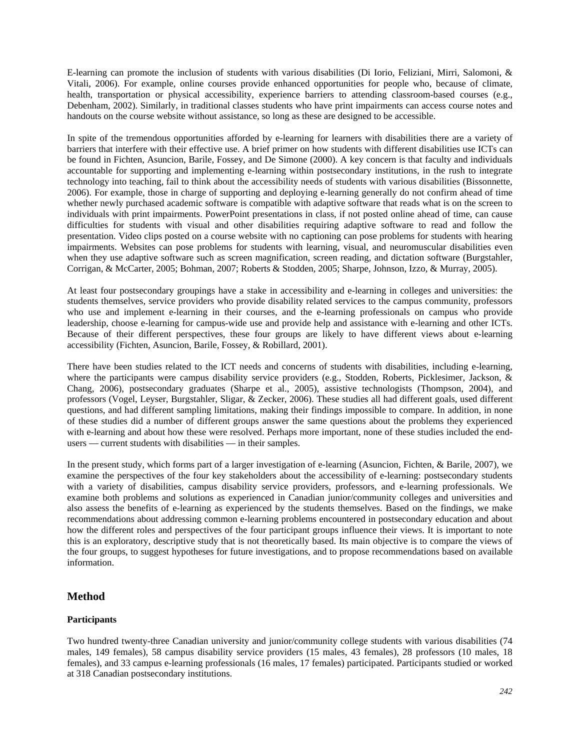E-learning can promote the inclusion of students with various disabilities (Di Iorio, Feliziani, Mirri, Salomoni, & Vitali, 2006). For example, online courses provide enhanced opportunities for people who, because of climate, health, transportation or physical accessibility, experience barriers to attending classroom-based courses (e.g., Debenham, 2002). Similarly, in traditional classes students who have print impairments can access course notes and handouts on the course website without assistance, so long as these are designed to be accessible.

In spite of the tremendous opportunities afforded by e-learning for learners with disabilities there are a variety of barriers that interfere with their effective use. A brief primer on how students with different disabilities use ICTs can be found in Fichten, Asuncion, Barile, Fossey, and De Simone (2000). A key concern is that faculty and individuals accountable for supporting and implementing e-learning within postsecondary institutions, in the rush to integrate technology into teaching, fail to think about the accessibility needs of students with various disabilities (Bissonnette, 2006). For example, those in charge of supporting and deploying e-learning generally do not confirm ahead of time whether newly purchased academic software is compatible with adaptive software that reads what is on the screen to individuals with print impairments. PowerPoint presentations in class, if not posted online ahead of time, can cause difficulties for students with visual and other disabilities requiring adaptive software to read and follow the presentation. Video clips posted on a course website with no captioning can pose problems for students with hearing impairments. Websites can pose problems for students with learning, visual, and neuromuscular disabilities even when they use adaptive software such as screen magnification, screen reading, and dictation software (Burgstahler, Corrigan, & McCarter, 2005; Bohman, 2007; Roberts & Stodden, 2005; Sharpe, Johnson, Izzo, & Murray, 2005).

At least four postsecondary groupings have a stake in accessibility and e-learning in colleges and universities: the students themselves, service providers who provide disability related services to the campus community, professors who use and implement e-learning in their courses, and the e-learning professionals on campus who provide leadership, choose e-learning for campus-wide use and provide help and assistance with e-learning and other ICTs. Because of their different perspectives, these four groups are likely to have different views about e-learning accessibility (Fichten, Asuncion, Barile, Fossey, & Robillard, 2001).

There have been studies related to the ICT needs and concerns of students with disabilities, including e-learning, where the participants were campus disability service providers (e.g., Stodden, Roberts, Picklesimer, Jackson, & Chang, 2006), postsecondary graduates (Sharpe et al., 2005), assistive technologists (Thompson, 2004), and professors (Vogel, Leyser, Burgstahler, Sligar, & Zecker, 2006). These studies all had different goals, used different questions, and had different sampling limitations, making their findings impossible to compare. In addition, in none of these studies did a number of different groups answer the same questions about the problems they experienced with e-learning and about how these were resolved. Perhaps more important, none of these studies included the endusers — current students with disabilities — in their samples.

In the present study, which forms part of a larger investigation of e-learning (Asuncion, Fichten, & Barile, 2007), we examine the perspectives of the four key stakeholders about the accessibility of e-learning: postsecondary students with a variety of disabilities, campus disability service providers, professors, and e-learning professionals. We examine both problems and solutions as experienced in Canadian junior/community colleges and universities and also assess the benefits of e-learning as experienced by the students themselves. Based on the findings, we make recommendations about addressing common e-learning problems encountered in postsecondary education and about how the different roles and perspectives of the four participant groups influence their views. It is important to note this is an exploratory, descriptive study that is not theoretically based. Its main objective is to compare the views of the four groups, to suggest hypotheses for future investigations, and to propose recommendations based on available information.

## **Method**

## **Participants**

Two hundred twenty-three Canadian university and junior/community college students with various disabilities (74 males, 149 females), 58 campus disability service providers (15 males, 43 females), 28 professors (10 males, 18 females), and 33 campus e-learning professionals (16 males, 17 females) participated. Participants studied or worked at 318 Canadian postsecondary institutions.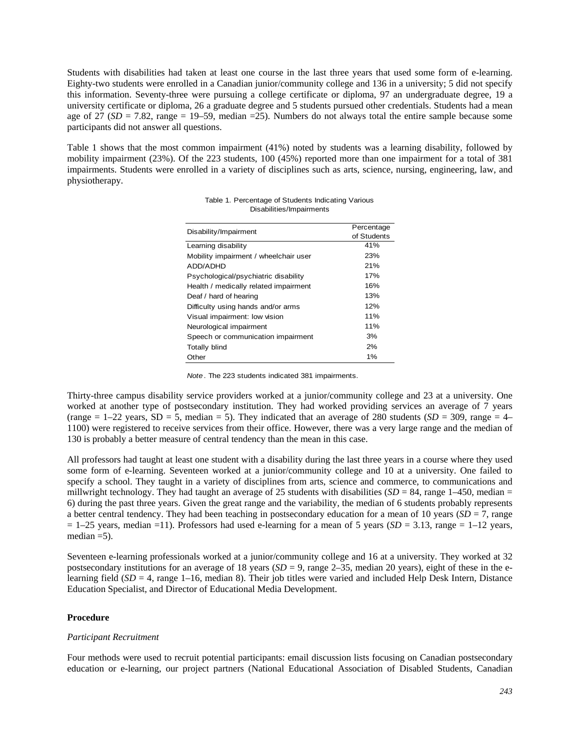Students with disabilities had taken at least one course in the last three years that used some form of e-learning. Eighty-two students were enrolled in a Canadian junior/community college and 136 in a university; 5 did not specify this information. Seventy-three were pursuing a college certificate or diploma, 97 an undergraduate degree, 19 a university certificate or diploma, 26 a graduate degree and 5 students pursued other credentials. Students had a mean age of 27 ( $SD = 7.82$ , range = 19–59, median =25). Numbers do not always total the entire sample because some participants did not answer all questions.

Table 1 shows that the most common impairment (41%) noted by students was a learning disability, followed by mobility impairment (23%). Of the 223 students, 100 (45%) reported more than one impairment for a total of 381 impairments. Students were enrolled in a variety of disciplines such as arts, science, nursing, engineering, law, and physiotherapy.

| Disability/Impairment                 | Percentage  |
|---------------------------------------|-------------|
|                                       | of Students |
| Learning disability                   | 41%         |
| Mobility impairment / wheelchair user | 23%         |
| ADD/ADHD                              | 21%         |
| Psychological/psychiatric disability  | 17%         |
| Health / medically related impairment | 16%         |
| Deaf / hard of hearing                | 13%         |
| Difficulty using hands and/or arms    | 12%         |
| Visual impairment: low vision         | 11%         |
| Neurological impairment               | 11%         |
| Speech or communication impairment    | 3%          |
| <b>Totally blind</b>                  | 2%          |
| Other                                 | 1%          |

| Table 1. Percentage of Students Indicating Various |  |
|----------------------------------------------------|--|
| Disabilities/Impairments                           |  |

|  |  |  |  |  |  | Note. The 223 students indicated 381 impairments. |
|--|--|--|--|--|--|---------------------------------------------------|
|--|--|--|--|--|--|---------------------------------------------------|

Thirty-three campus disability service providers worked at a junior/community college and 23 at a university. One worked at another type of postsecondary institution. They had worked providing services an average of 7 years (range  $= 1-22$  years,  $SD = 5$ , median  $= 5$ ). They indicated that an average of 280 students (*SD* = 309, range  $= 4-$ 1100) were registered to receive services from their office. However, there was a very large range and the median of 130 is probably a better measure of central tendency than the mean in this case.

All professors had taught at least one student with a disability during the last three years in a course where they used some form of e-learning. Seventeen worked at a junior/community college and 10 at a university. One failed to specify a school. They taught in a variety of disciplines from arts, science and commerce, to communications and millwright technology. They had taught an average of 25 students with disabilities  $(SD = 84$ , range  $1-450$ , median = 6) during the past three years. Given the great range and the variability, the median of 6 students probably represents a better central tendency. They had been teaching in postsecondary education for a mean of 10 years ( $SD = 7$ , range  $= 1-25$  years, median  $=11$ ). Professors had used e-learning for a mean of 5 years (*SD* = 3.13, range = 1–12 years, median  $=$  5).

Seventeen e-learning professionals worked at a junior/community college and 16 at a university. They worked at 32 postsecondary institutions for an average of 18 years  $(SD = 9)$ , range 2–35, median 20 years), eight of these in the elearning field (*SD* = 4, range 1–16, median 8). Their job titles were varied and included Help Desk Intern, Distance Education Specialist, and Director of Educational Media Development.

#### **Procedure**

#### *Participant Recruitment*

Four methods were used to recruit potential participants: email discussion lists focusing on Canadian postsecondary education or e-learning, our project partners (National Educational Association of Disabled Students, Canadian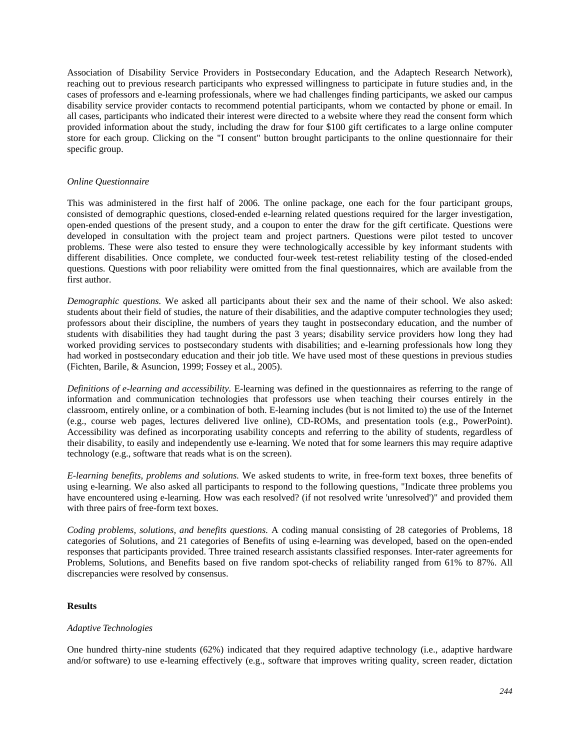Association of Disability Service Providers in Postsecondary Education, and the Adaptech Research Network), reaching out to previous research participants who expressed willingness to participate in future studies and, in the cases of professors and e-learning professionals, where we had challenges finding participants, we asked our campus disability service provider contacts to recommend potential participants, whom we contacted by phone or email. In all cases, participants who indicated their interest were directed to a website where they read the consent form which provided information about the study, including the draw for four \$100 gift certificates to a large online computer store for each group. Clicking on the "I consent" button brought participants to the online questionnaire for their specific group.

#### *Online Questionnaire*

This was administered in the first half of 2006. The online package, one each for the four participant groups, consisted of demographic questions, closed-ended e-learning related questions required for the larger investigation, open-ended questions of the present study, and a coupon to enter the draw for the gift certificate. Questions were developed in consultation with the project team and project partners. Questions were pilot tested to uncover problems. These were also tested to ensure they were technologically accessible by key informant students with different disabilities. Once complete, we conducted four-week test-retest reliability testing of the closed-ended questions. Questions with poor reliability were omitted from the final questionnaires, which are available from the first author.

*Demographic questions.* We asked all participants about their sex and the name of their school. We also asked: students about their field of studies, the nature of their disabilities, and the adaptive computer technologies they used; professors about their discipline, the numbers of years they taught in postsecondary education, and the number of students with disabilities they had taught during the past 3 years; disability service providers how long they had worked providing services to postsecondary students with disabilities; and e-learning professionals how long they had worked in postsecondary education and their job title. We have used most of these questions in previous studies (Fichten, Barile, & Asuncion, 1999; Fossey et al., 2005).

*Definitions of e-learning and accessibility.* E-learning was defined in the questionnaires as referring to the range of information and communication technologies that professors use when teaching their courses entirely in the classroom, entirely online, or a combination of both. E-learning includes (but is not limited to) the use of the Internet (e.g., course web pages, lectures delivered live online), CD-ROMs, and presentation tools (e.g., PowerPoint). Accessibility was defined as incorporating usability concepts and referring to the ability of students, regardless of their disability, to easily and independently use e-learning. We noted that for some learners this may require adaptive technology (e.g., software that reads what is on the screen).

*E-learning benefits, problems and solutions.* We asked students to write, in free-form text boxes, three benefits of using e-learning. We also asked all participants to respond to the following questions, "Indicate three problems you have encountered using e-learning. How was each resolved? (if not resolved write 'unresolved')" and provided them with three pairs of free-form text boxes.

*Coding problems, solutions, and benefits questions.* A coding manual consisting of 28 categories of Problems, 18 categories of Solutions, and 21 categories of Benefits of using e-learning was developed, based on the open-ended responses that participants provided. Three trained research assistants classified responses. Inter-rater agreements for Problems, Solutions, and Benefits based on five random spot-checks of reliability ranged from 61% to 87%. All discrepancies were resolved by consensus.

## **Results**

#### *Adaptive Technologies*

One hundred thirty-nine students (62%) indicated that they required adaptive technology (i.e., adaptive hardware and/or software) to use e-learning effectively (e.g., software that improves writing quality, screen reader, dictation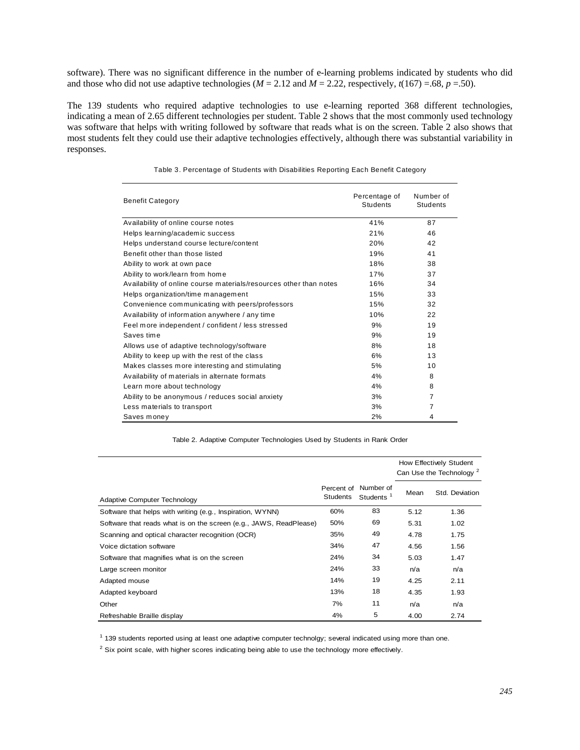software). There was no significant difference in the number of e-learning problems indicated by students who did and those who did not use adaptive technologies ( $M = 2.12$  and  $M = 2.22$ , respectively,  $t(167) = .68$ ,  $p = .50$ ).

The 139 students who required adaptive technologies to use e-learning reported 368 different technologies, indicating a mean of 2.65 different technologies per student. Table 2 shows that the most commonly used technology was software that helps with writing followed by software that reads what is on the screen. Table 2 also shows that most students felt they could use their adaptive technologies effectively, although there was substantial variability in responses.

| <b>Benefit Category</b>                                            | Percentage of<br>Students | Number of<br><b>Students</b> |
|--------------------------------------------------------------------|---------------------------|------------------------------|
| Availability of online course notes                                | 41%                       | 87                           |
| Helps learning/academic success                                    | 21%                       | 46                           |
| Helps understand course lecture/content                            | 20%                       | 42                           |
| Benefit other than those listed                                    | 19%                       | 41                           |
| Ability to work at own pace                                        | 18%                       | 38                           |
| Ability to work/learn from home                                    | 17%                       | 37                           |
| Availability of online course materials/resources other than notes | 16%                       | 34                           |
| Helps organization/time management                                 | 15%                       | 33                           |
| Convenience communicating with peers/professors                    | 15%                       | 32                           |
| Availability of information anywhere / any time                    | 10%                       | 22                           |
| Feel more independent / confident / less stressed                  | 9%                        | 19                           |
| Saves time                                                         | 9%                        | 19                           |
| Allows use of adaptive technology/software                         | 8%                        | 18                           |
| Ability to keep up with the rest of the class                      | 6%                        | 13                           |
| Makes classes more interesting and stimulating                     | 5%                        | 10                           |
| Availability of materials in alternate formats                     | 4%                        | 8                            |
| Learn more about technology                                        | 4%                        | 8                            |
| Ability to be anonymous / reduces social anxiety                   | 3%                        | $\overline{7}$               |
| Less materials to transport                                        | 3%                        | 7                            |
| Saves money                                                        | 2%                        | 4                            |

Table 3. Percentage of Students with Disabilities Reporting Each Benefit Category

Table 2. Adaptive Computer Technologies Used by Students in Rank Order

|                                                                    |                               |                                    |      | How Effectively Student<br>Can Use the Technology <sup>2</sup> |
|--------------------------------------------------------------------|-------------------------------|------------------------------------|------|----------------------------------------------------------------|
| Adaptive Computer Technology                                       | Percent of<br><b>Students</b> | Number of<br>Students <sup>1</sup> | Mean | Std. Deviation                                                 |
| Software that helps with writing (e.g., Inspiration, WYNN)         | 60%                           | 83                                 | 5.12 | 1.36                                                           |
| Software that reads what is on the screen (e.g., JAWS, ReadPlease) | 50%                           | 69                                 | 5.31 | 1.02                                                           |
| Scanning and optical character recognition (OCR)                   | 35%                           | 49                                 | 4.78 | 1.75                                                           |
| Voice dictation software                                           | 34%                           | 47                                 | 4.56 | 1.56                                                           |
| Software that magnifies what is on the screen                      | 24%                           | 34                                 | 5.03 | 1.47                                                           |
| Large screen monitor                                               | 24%                           | 33                                 | n/a  | n/a                                                            |
| Adapted mouse                                                      | 14%                           | 19                                 | 4.25 | 2.11                                                           |
| Adapted keyboard                                                   | 13%                           | 18                                 | 4.35 | 1.93                                                           |
| Other                                                              | 7%                            | 11                                 | n/a  | n/a                                                            |
| Refreshable Braille display                                        | 4%                            | 5                                  | 4.00 | 2.74                                                           |

<sup>1</sup> 139 students reported using at least one adaptive computer technolgy; several indicated using more than one.

<sup>2</sup> Six point scale, with higher scores indicating being able to use the technology more effectively.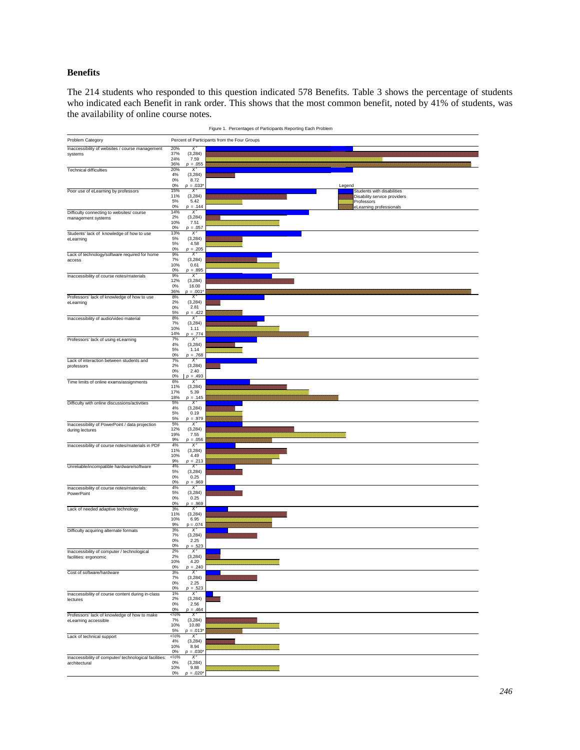## **Benefits**

The 214 students who responded to this question indicated 578 Benefits. Table 3 shows the percentage of students who indicated each Benefit in rank order. This shows that the most common benefit, noted by 41% of students, was the availability of online course notes.

|                                                                         |                        |                   | . و.                                                                                                                  |
|-------------------------------------------------------------------------|------------------------|-------------------|-----------------------------------------------------------------------------------------------------------------------|
| Problem Category                                                        |                        |                   | Percent of Participants from the Four Groups                                                                          |
| Inaccessibility of websites / course management                         | 20%                    | Χ                 |                                                                                                                       |
| systems                                                                 | 37%                    | (3, 284)          |                                                                                                                       |
|                                                                         | 24%                    | 7.59              |                                                                                                                       |
| <b>Technical difficulties</b>                                           | 36%<br>20%             | $p = .055$<br>X.  |                                                                                                                       |
|                                                                         | 4%                     | (3,284)           |                                                                                                                       |
|                                                                         | 0%                     | 8.72              |                                                                                                                       |
|                                                                         | 0%<br>15%              | $p = .033'$<br>X  | Legend<br>Students with disabilities                                                                                  |
| Poor use of eLearning by professors                                     | 11%                    | (3,284)           | Disability service providers                                                                                          |
|                                                                         | 5%                     | 5.42              | <u> III III III III III III III III II</u><br>Professors                                                              |
|                                                                         | 0%                     | $p = .144$        | eLearning professionals                                                                                               |
| Difficulty connecting to websites/ course<br>management systems         | 14%<br>2%              | -X.<br>(3,284)    |                                                                                                                       |
|                                                                         | 10%                    | 7.51              |                                                                                                                       |
|                                                                         | 0%                     | $p = .057$        |                                                                                                                       |
| Students' lack of knowledge of how to use                               | 13%<br>5%              | $X^2$<br>(3,284)  |                                                                                                                       |
| eLearning                                                               | 5%                     | 4.58              |                                                                                                                       |
|                                                                         | 0%                     | $p = .205$        |                                                                                                                       |
| Lack of technology/software required for home                           | 9%<br>7%               | X.<br>(3,284)     |                                                                                                                       |
| access                                                                  | 10%                    | 0.61              |                                                                                                                       |
|                                                                         | 0%                     | $p = .895$        |                                                                                                                       |
| Inaccessibility of course notes/materials                               | 9%                     | X,                |                                                                                                                       |
|                                                                         | 12%<br>$0\%$           | (3,284)<br>16.00  |                                                                                                                       |
|                                                                         | 36%                    | $p = .001$        |                                                                                                                       |
| Professors' lack of knowledge of how to use                             | 8%                     | $X^2$             |                                                                                                                       |
| eLearning                                                               | 2%<br>0%               | (3,284)<br>2.81   |                                                                                                                       |
|                                                                         | 5%                     | $p = .422$        |                                                                                                                       |
| Inaccessibility of audio/video material                                 | 8%                     | X,                |                                                                                                                       |
|                                                                         | 7%<br>10%              | (3,284)<br>1.11   |                                                                                                                       |
|                                                                         | 14%                    | $p = .774$        |                                                                                                                       |
| Professors' lack of using eLearning                                     | 7%                     | х                 |                                                                                                                       |
|                                                                         | 4%<br>5%               | (3, 284)<br>1.14  |                                                                                                                       |
|                                                                         | $0\%$                  | $p = .768$        |                                                                                                                       |
| Lack of interaction between students and                                | 7%                     | $X^2$             |                                                                                                                       |
| professors                                                              | 2%<br>$0\%$            | (3,284)<br>2.40   |                                                                                                                       |
|                                                                         | $0\%$                  | $p = .493$        |                                                                                                                       |
| Time limits of online exams/assignments                                 | 6%                     | X,                |                                                                                                                       |
|                                                                         | 11%<br>17%             | (3, 284)<br>5.39  | <u> 1111   1111   1111   1111   1111   1111   1111   1111   1111   1111   1111   1111   1111   1111   1111   111</u>  |
|                                                                         | 18%                    | $p = .145$        |                                                                                                                       |
| Difficulty with online discussions/activities                           | 5%                     | X.                |                                                                                                                       |
|                                                                         | 4%<br>5%               | (3,284)<br>0.19   |                                                                                                                       |
|                                                                         | 5%                     | $p = .979$        |                                                                                                                       |
| Inaccessibility of PowerPoint / data projection                         | 5%                     | X                 |                                                                                                                       |
| during lectures                                                         | 12%<br>19%             | (3, 284)<br>7.55  |                                                                                                                       |
|                                                                         | 9%                     | $p = .056$        |                                                                                                                       |
| Inaccessibility of course notes/materials in PDF                        | 4%<br>11%              | $X^2$             |                                                                                                                       |
|                                                                         | 10%                    | (3,284)<br>4.49   | <u> 1999 - Jan Albert Harry Harry Harry Harry Harry Harry Harry Harry Harry Harry Harry Harry Harry Harry Harry H</u> |
|                                                                         | 9%                     | $p = .213$        |                                                                                                                       |
| Unreliable/incompatible hardware/software                               | 4%                     | $X^2$             |                                                                                                                       |
|                                                                         | 5%<br>$0\%$            | (3,284)<br>0.25   |                                                                                                                       |
|                                                                         | 0%                     | $p = .969$        |                                                                                                                       |
| Inaccessibility of course notes/materials:                              | 4%<br>5%               | X.<br>(3,284)     |                                                                                                                       |
| PowerPoint                                                              | $0\%$                  | 0.25              |                                                                                                                       |
|                                                                         | 0%                     | $p = .969$        |                                                                                                                       |
| Lack of needed adaptive technology                                      | 3%                     | $X^2$             |                                                                                                                       |
|                                                                         | 11%<br>10%             | (3,284)<br>6.95   |                                                                                                                       |
|                                                                         | 9%                     | $p = .074$        |                                                                                                                       |
| Difficulty acquiring alternate formats                                  | 3%<br>7%               | $X^2$             |                                                                                                                       |
|                                                                         | 0%                     | (3, 284)<br>2.25  |                                                                                                                       |
|                                                                         | 0%                     | $p = .523$        |                                                                                                                       |
| Inaccessibility of computer / technological                             | 2%<br>2%               | X                 |                                                                                                                       |
| facilities: ergonomic                                                   | 10%                    | (3,284)<br>4.20   |                                                                                                                       |
|                                                                         | 0%                     | $p = .240$        |                                                                                                                       |
| Cost of software/hardware                                               | 3%<br>7%               | X.<br>(3,284)     |                                                                                                                       |
|                                                                         | $0\%$                  | 2.25              |                                                                                                                       |
|                                                                         | 0%                     | $p = .523$        |                                                                                                                       |
| Inaccessibility of course content during in-class                       | 1%<br>2%               | $X^2$<br>(3, 284) |                                                                                                                       |
| lectures                                                                | $0\%$                  | 2.56              |                                                                                                                       |
|                                                                         | 0%                     | $p = .464$        |                                                                                                                       |
| Professors' lack of knowledge of how to make<br>eLearning accessible    | $<\frac{1}{2}\%$<br>7% | X.<br>(3, 284)    |                                                                                                                       |
|                                                                         | 10%                    | 10.80             |                                                                                                                       |
|                                                                         | 5%                     | $p = .013"$       |                                                                                                                       |
| Lack of technical support                                               | $<\frac{1}{2}\%$<br>4% | $X^2$<br>(3, 284) |                                                                                                                       |
|                                                                         | 10%                    | 8.94              |                                                                                                                       |
|                                                                         | 0%                     | $p = .030"$       |                                                                                                                       |
| Inaccessibility of computer/ technological facilities:<br>architectural | $<\frac{1}{2}\%$<br>0% | X.<br>(3, 284)    |                                                                                                                       |
|                                                                         | 10%                    | 9.88              |                                                                                                                       |
|                                                                         | $0\%$                  | $p = .020^*$      |                                                                                                                       |

Figure 1. Percentages of Participants Reporting Each Problem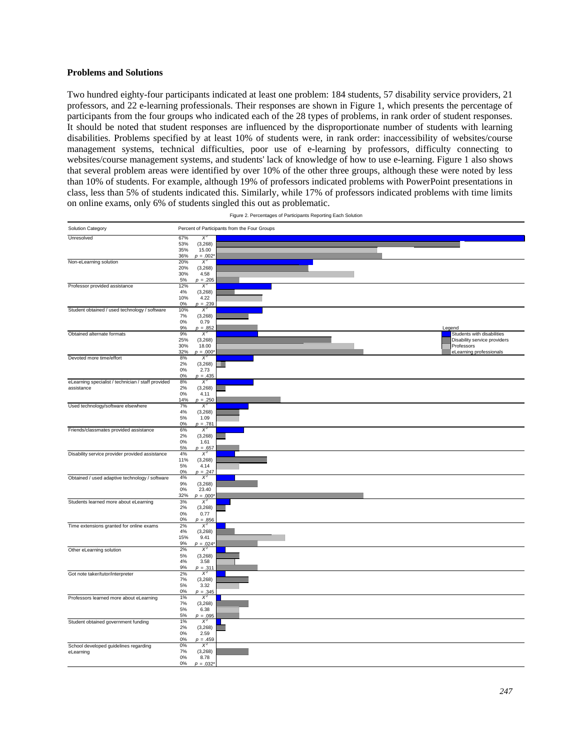#### **Problems and Solutions**

Two hundred eighty-four participants indicated at least one problem: 184 students, 57 disability service providers, 21 professors, and 22 e-learning professionals. Their responses are shown in Figure 1, which presents the percentage of participants from the four groups who indicated each of the 28 types of problems, in rank order of student responses. It should be noted that student responses are influenced by the disproportionate number of students with learning disabilities. Problems specified by at least 10% of students were, in rank order: inaccessibility of websites/course management systems, technical difficulties, poor use of e-learning by professors, difficulty connecting to websites/course management systems, and students' lack of knowledge of how to use e-learning. Figure 1 also shows that several problem areas were identified by over 10% of the other three groups, although these were noted by less than 10% of students. For example, although 19% of professors indicated problems with PowerPoint presentations in class, less than 5% of students indicated this. Similarly, while 17% of professors indicated problems with time limits on online exams, only 6% of students singled this out as problematic.

| Solution Category                                  |            |                     | Percent of Participants from the Four Groups                                                                                         |
|----------------------------------------------------|------------|---------------------|--------------------------------------------------------------------------------------------------------------------------------------|
| Unresolved                                         | 67%        | $X^2$               |                                                                                                                                      |
|                                                    | 53%        | (3, 268)            |                                                                                                                                      |
|                                                    | 35%<br>36% | 15.00               | <u> 1989 - Andrea Andrew Maria Maria Maria Andrew Maria Maria Maria Andrew Maria Maria Maria Maria Maria Maria M</u><br>┉            |
| Non-eLearning solution                             | 20%        | $p = .002$<br>$X^2$ |                                                                                                                                      |
|                                                    | 20%        | (3,268)             |                                                                                                                                      |
|                                                    | 30%        | 4.58                | <u> 1999 - Jan Albert Harry, Amerikaansk filosof (f. 1989)</u>                                                                       |
|                                                    | 5%         | $p = .205$          |                                                                                                                                      |
| Professor provided assistance                      | 12%<br>4%  | $X^2$               |                                                                                                                                      |
|                                                    | 10%        | (3,268)<br>4.22     |                                                                                                                                      |
|                                                    | 0%         | $p = .239$          |                                                                                                                                      |
| Student obtained / used technology / software      | 10%        | $X^2$               |                                                                                                                                      |
|                                                    | 7%         | (3,268)             |                                                                                                                                      |
|                                                    | 0%<br>9%   | 0.79<br>$p = .852$  | Legend                                                                                                                               |
| Obtained alternate formats                         | 9%         | $X^2$               | Students with disabilities                                                                                                           |
|                                                    | 25%        | (3,268)             | Disability service providers                                                                                                         |
|                                                    | 30%        | 18.00               | <u> 1989 - Johann John Stone, mark fra de france e format de la format de la format de la format de la format de l</u><br>Professors |
|                                                    | 32%        | $p = .000^{\circ}$  | eLearning professionals                                                                                                              |
| Devoted more time/effort                           | 8%<br>2%   | $X^2$<br>(3,268)    |                                                                                                                                      |
|                                                    | $0\%$      | 2.73                |                                                                                                                                      |
|                                                    | 0%         | $p = .435$          |                                                                                                                                      |
| eLearning specialist / technician / staff provided | 8%         | $X^2$               |                                                                                                                                      |
| assistance                                         | 2%<br>0%   | (3,268)             |                                                                                                                                      |
|                                                    | 14%        | 4.11<br>$p = .250$  |                                                                                                                                      |
| Used technology/software elsewhere                 | 7%         | $X^2$               |                                                                                                                                      |
|                                                    | 4%         | (3,268)             |                                                                                                                                      |
|                                                    | 5%         | 1.09                |                                                                                                                                      |
|                                                    | 0%<br>6%   | $p = .781$<br>$X^2$ |                                                                                                                                      |
| Friends/classmates provided assistance             | 2%         | (3,268)             | ≡                                                                                                                                    |
|                                                    | 0%         | 1.61                |                                                                                                                                      |
|                                                    | 5%         | $p = .657$          | ▒▒▒▒▒                                                                                                                                |
| Disability service provider provided assistance    | 4%<br>11%  | $X^2$<br>(3,268)    |                                                                                                                                      |
|                                                    | 5%         | 4.14                |                                                                                                                                      |
|                                                    | 0%         | $p = .247$          |                                                                                                                                      |
| Obtained / used adaptive technology / software     | 4%         | $X^2$               |                                                                                                                                      |
|                                                    | 9%<br>0%   | (3,268)<br>23.40    |                                                                                                                                      |
|                                                    | 32%        | $p = .000^{\circ}$  |                                                                                                                                      |
| Students learned more about eLearning              | 3%         | $X^2$               |                                                                                                                                      |
|                                                    | 2%         | (3,268)             |                                                                                                                                      |
|                                                    | 0%<br>0%   | 0.77<br>$p = .856$  |                                                                                                                                      |
| Time extensions granted for online exams           | 2%         | X                   |                                                                                                                                      |
|                                                    | 4%         | (3,268)             |                                                                                                                                      |
|                                                    | 15%        | 9.41                | <u> Albanya (</u>                                                                                                                    |
|                                                    | 9%<br>2%   | $p = .024$<br>$X^2$ |                                                                                                                                      |
| Other eLearning solution                           | 5%         | (3,268)             |                                                                                                                                      |
|                                                    | 4%         | 3.58                |                                                                                                                                      |
|                                                    | 9%         | $p = .311$          | ▒▒▒▒▒▒▒▒▒                                                                                                                            |
| Got note taker/tutor/interpreter                   | 2%<br>7%   | $X^2$               |                                                                                                                                      |
|                                                    | 5%         | (3,268)<br>3.32     |                                                                                                                                      |
|                                                    | 0%         | $p = .345$          |                                                                                                                                      |
| Professors learned more about eLearning            | 1%         | $X^2$               |                                                                                                                                      |
|                                                    | 7%         | (3,268)             |                                                                                                                                      |
|                                                    | 5%<br>5%   | 6.38<br>$p = .095$  |                                                                                                                                      |
| Student obtained government funding                | 1%         | $X^2$               |                                                                                                                                      |
|                                                    | 2%         | (3,268)             |                                                                                                                                      |
|                                                    | 0%         | 2.59                |                                                                                                                                      |
|                                                    | 0%         | $p = .459$<br>$X^2$ |                                                                                                                                      |
| School developed guidelines regarding<br>eLearning | 0%<br>7%   | (3,268)             |                                                                                                                                      |
|                                                    | $0\%$      | 8.78                |                                                                                                                                      |
|                                                    | 0%         | $p = .032^*$        |                                                                                                                                      |

Figure 2. Percentages of Participants Reporting Each Solution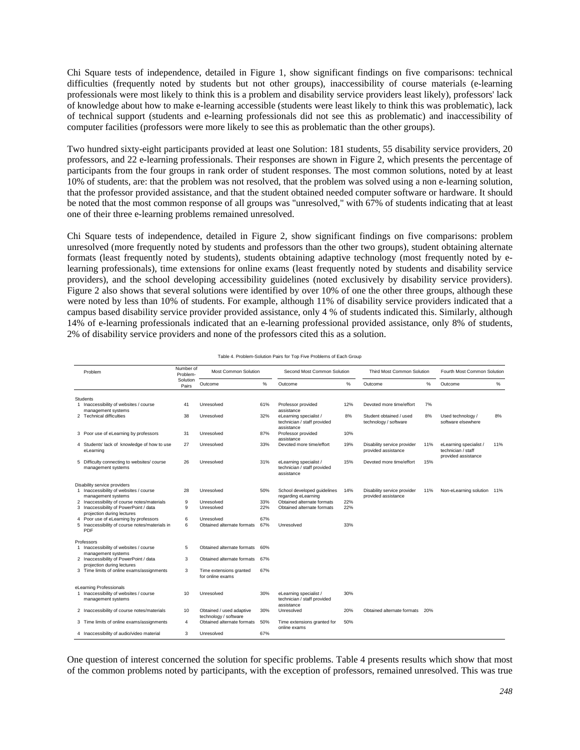Chi Square tests of independence, detailed in Figure 1, show significant findings on five comparisons: technical difficulties (frequently noted by students but not other groups), inaccessibility of course materials (e-learning professionals were most likely to think this is a problem and disability service providers least likely), professors' lack of knowledge about how to make e-learning accessible (students were least likely to think this was problematic), lack of technical support (students and e-learning professionals did not see this as problematic) and inaccessibility of computer facilities (professors were more likely to see this as problematic than the other groups).

Two hundred sixty-eight participants provided at least one Solution: 181 students, 55 disability service providers, 20 professors, and 22 e-learning professionals. Their responses are shown in Figure 2, which presents the percentage of participants from the four groups in rank order of student responses. The most common solutions, noted by at least 10% of students, are: that the problem was not resolved, that the problem was solved using a non e-learning solution, that the professor provided assistance, and that the student obtained needed computer software or hardware. It should be noted that the most common response of all groups was "unresolved," with 67% of students indicating that at least one of their three e-learning problems remained unresolved.

Chi Square tests of independence, detailed in Figure 2, show significant findings on five comparisons: problem unresolved (more frequently noted by students and professors than the other two groups), student obtaining alternate formats (least frequently noted by students), students obtaining adaptive technology (most frequently noted by elearning professionals), time extensions for online exams (least frequently noted by students and disability service providers), and the school developing accessibility guidelines (noted exclusively by disability service providers). Figure 2 also shows that several solutions were identified by over 10% of one the other three groups, although these were noted by less than 10% of students. For example, although 11% of disability service providers indicated that a campus based disability service provider provided assistance, only 4 % of students indicated this. Similarly, although 14% of e-learning professionals indicated that an e-learning professional provided assistance, only 8% of students, 2% of disability service providers and none of the professors cited this as a solution.

| Problem                                                                                                             | Number of<br>Problem- | Most Common Solution                              |            | Second Most Common Solution                                         |            | Third Most Common Solution                         |     | Fourth Most Common Solution                                         |     |
|---------------------------------------------------------------------------------------------------------------------|-----------------------|---------------------------------------------------|------------|---------------------------------------------------------------------|------------|----------------------------------------------------|-----|---------------------------------------------------------------------|-----|
|                                                                                                                     | Solution<br>Pairs     | Outcome                                           | %          | Outcome                                                             | %          | Outcome                                            | %   | Outcome                                                             | %   |
| <b>Students</b>                                                                                                     |                       |                                                   |            |                                                                     |            |                                                    |     |                                                                     |     |
| 1 Inaccessibility of websites / course<br>management systems                                                        | 41                    | Unresolved                                        | 61%        | Professor provided<br>assistance                                    | 12%        | Devoted more time/effort                           | 7%  |                                                                     |     |
| 2 Technical difficulties                                                                                            | 38                    | Unresolved                                        | 32%        | eLearning specialist /<br>technician / staff provided<br>assistance | 8%         | Student obtained / used<br>technology / software   | 8%  | Used technology /<br>software elsewhere                             | 8%  |
| 3 Poor use of eLearning by professors                                                                               | 31                    | Unresolved                                        | 87%        | Professor provided<br>assistance                                    | 10%        |                                                    |     |                                                                     |     |
| 4 Students' lack of knowledge of how to use<br>eLearning                                                            | 27                    | Unresolved                                        | 33%        | Devoted more time/effort                                            | 19%        | Disability service provider<br>provided assistance | 11% | eLearning specialist /<br>technician / staff<br>provided assistance | 11% |
| 5 Difficulty connecting to websites/ course<br>management systems                                                   | 26                    | Unresolved                                        | 31%        | eLearning specialist /<br>technician / staff provided<br>assistance | 15%        | Devoted more time/effort                           | 15% |                                                                     |     |
| Disability service providers<br>1 Inaccessibility of websites / course                                              |                       | Unresolved                                        |            |                                                                     |            |                                                    |     |                                                                     |     |
| management systems                                                                                                  | 28                    |                                                   | 50%        | School developed quidelines<br>regarding eLearning                  | 14%        | Disability service provider<br>provided assistance | 11% | Non-eLearning solution 11%                                          |     |
| 2 Inaccessibility of course notes/materials<br>3 Inaccessibility of PowerPoint / data<br>projection during lectures | 9<br>9                | Unresolved<br>Unresolved                          | 33%<br>22% | Obtained alternate formats<br>Obtained alternate formats            | 22%<br>22% |                                                    |     |                                                                     |     |
| 4 Poor use of eLearning by professors                                                                               | 6                     | Unresolved                                        | 67%        |                                                                     |            |                                                    |     |                                                                     |     |
| 5 Inaccessibility of course notes/materials in<br>PDF                                                               | 6                     | Obtained alternate formats                        | 67%        | Unresolved                                                          | 33%        |                                                    |     |                                                                     |     |
| Professors                                                                                                          |                       |                                                   |            |                                                                     |            |                                                    |     |                                                                     |     |
| 1 Inaccessibility of websites / course<br>management systems                                                        | 5                     | Obtained alternate formats                        | 60%        |                                                                     |            |                                                    |     |                                                                     |     |
| 2 Inaccessibility of PowerPoint / data<br>projection during lectures                                                | 3                     | Obtained alternate formats                        | 67%        |                                                                     |            |                                                    |     |                                                                     |     |
| 3 Time limits of online exams/assignments                                                                           | 3                     | Time extensions granted<br>for online exams       | 67%        |                                                                     |            |                                                    |     |                                                                     |     |
| eLearning Professionals                                                                                             |                       |                                                   |            |                                                                     |            |                                                    |     |                                                                     |     |
| 1 Inaccessibility of websites / course<br>management systems                                                        | 10                    | Unresolved                                        | 30%        | eLearning specialist /<br>technician / staff provided<br>assistance | 30%        |                                                    |     |                                                                     |     |
| 2 Inaccessibility of course notes/materials                                                                         | 10                    | Obtained / used adaptive<br>technology / software | 30%        | Unresolved                                                          | 20%        | Obtained alternate formats                         | 20% |                                                                     |     |
| 3 Time limits of online exams/assignments                                                                           | 4                     | Obtained alternate formats                        | 50%        | Time extensions granted for<br>online exams                         | 50%        |                                                    |     |                                                                     |     |
| 4 Inaccessibility of audio/video material                                                                           | 3                     | Unresolved                                        | 67%        |                                                                     |            |                                                    |     |                                                                     |     |

Table 4. Problem-Solution Pairs for Top Five Problems of Each Group

 One question of interest concerned the solution for specific problems. Table 4 presents results which show that most of the common problems noted by participants, with the exception of professors, remained unresolved. This was true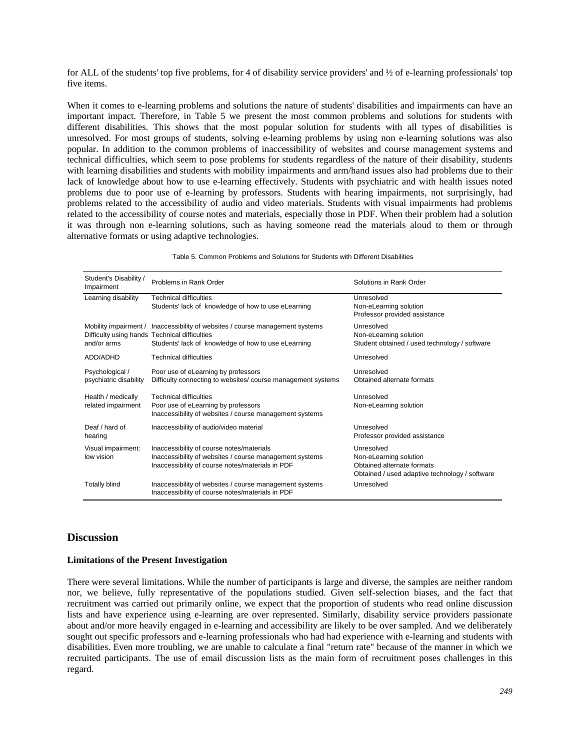for ALL of the students' top five problems, for 4 of disability service providers' and ½ of e-learning professionals' top five items.

When it comes to e-learning problems and solutions the nature of students' disabilities and impairments can have an important impact. Therefore, in Table 5 we present the most common problems and solutions for students with different disabilities. This shows that the most popular solution for students with all types of disabilities is unresolved. For most groups of students, solving e-learning problems by using non e-learning solutions was also popular. In addition to the common problems of inaccessibility of websites and course management systems and technical difficulties, which seem to pose problems for students regardless of the nature of their disability, students with learning disabilities and students with mobility impairments and arm/hand issues also had problems due to their lack of knowledge about how to use e-learning effectively. Students with psychiatric and with health issues noted problems due to poor use of e-learning by professors. Students with hearing impairments, not surprisingly, had problems related to the accessibility of audio and video materials. Students with visual impairments had problems related to the accessibility of course notes and materials, especially those in PDF. When their problem had a solution it was through non e-learning solutions, such as having someone read the materials aloud to them or through alternative formats or using adaptive technologies.

| Table 5. Common Problems and Solutions for Students with Different Disabilities |  |  |  |  |  |  |  |
|---------------------------------------------------------------------------------|--|--|--|--|--|--|--|
|---------------------------------------------------------------------------------|--|--|--|--|--|--|--|

| Student's Disability /<br>Impairment                         | Problems in Rank Order                                                                                                                                   | Solutions in Rank Order                                                                                              |
|--------------------------------------------------------------|----------------------------------------------------------------------------------------------------------------------------------------------------------|----------------------------------------------------------------------------------------------------------------------|
| Learning disability                                          | <b>Technical difficulties</b><br>Students' lack of knowledge of how to use eLearning                                                                     | Unresolved<br>Non-eLearning solution<br>Professor provided assistance                                                |
| Difficulty using hands Technical difficulties<br>and/or arms | Mobility impairment / Inaccessibility of websites / course management systems<br>Students' lack of knowledge of how to use eLearning                     | Unresolved<br>Non-eLearning solution<br>Student obtained / used technology / software                                |
| ADD/ADHD                                                     | Technical difficulties                                                                                                                                   | Unresolved                                                                                                           |
| Psychological /<br>psychiatric disability                    | Poor use of eLearning by professors<br>Difficulty connecting to websites/ course management systems                                                      | Unresolved<br>Obtained alternate formats                                                                             |
| Health / medically<br>related impairment                     | <b>Technical difficulties</b><br>Poor use of eLearning by professors<br>Inaccessibility of websites / course management systems                          | Unresolved<br>Non-eLearning solution                                                                                 |
| Deaf / hard of<br>hearing                                    | Inaccessibility of audio/video material                                                                                                                  | Unresolved<br>Professor provided assistance                                                                          |
| Visual impairment:<br>low vision                             | Inaccessibility of course notes/materials<br>Inaccessibility of websites / course management systems<br>Inaccessibility of course notes/materials in PDF | Unresolved<br>Non-eLearning solution<br>Obtained alternate formats<br>Obtained / used adaptive technology / software |
| <b>Totally blind</b>                                         | Inaccessibility of websites / course management systems<br>Inaccessibility of course notes/materials in PDF                                              | Unresolved                                                                                                           |

## **Discussion**

#### **Limitations of the Present Investigation**

There were several limitations. While the number of participants is large and diverse, the samples are neither random nor, we believe, fully representative of the populations studied. Given self-selection biases, and the fact that recruitment was carried out primarily online, we expect that the proportion of students who read online discussion lists and have experience using e-learning are over represented. Similarly, disability service providers passionate about and/or more heavily engaged in e-learning and accessibility are likely to be over sampled. And we deliberately sought out specific professors and e-learning professionals who had had experience with e-learning and students with disabilities. Even more troubling, we are unable to calculate a final "return rate" because of the manner in which we recruited participants. The use of email discussion lists as the main form of recruitment poses challenges in this regard.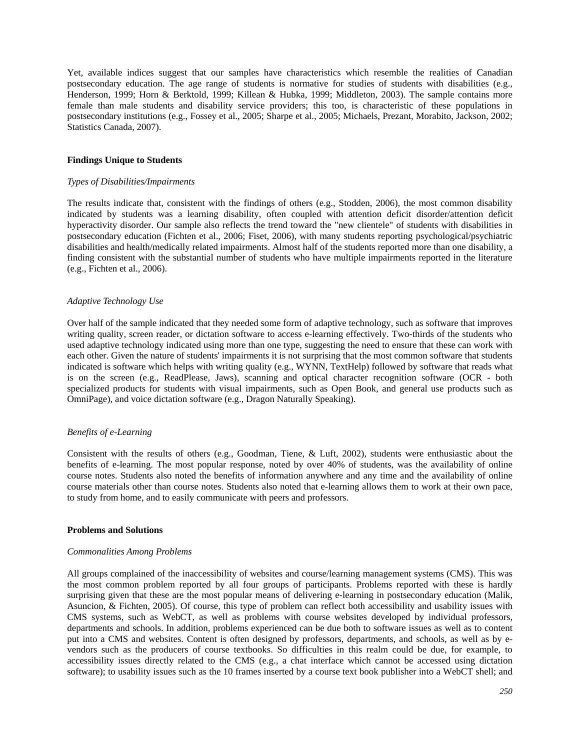Yet, available indices suggest that our samples have characteristics which resemble the realities of Canadian postsecondary education. The age range of students is normative for studies of students with disabilities (e.g., Henderson, 1999; Horn & Berktold, 1999; Killean & Hubka, 1999; Middleton, 2003). The sample contains more female than male students and disability service providers; this too, is characteristic of these populations in postsecondary institutions (e.g., Fossey et al., 2005; Sharpe et al., 2005; Michaels, Prezant, Morabito, Jackson, 2002; Statistics Canada, 2007).

#### **Findings Unique to Students**

#### *Types of Disabilities/Impairments*

The results indicate that, consistent with the findings of others (e.g., Stodden, 2006), the most common disability indicated by students was a learning disability, often coupled with attention deficit disorder/attention deficit hyperactivity disorder. Our sample also reflects the trend toward the "new clientele" of students with disabilities in postsecondary education (Fichten et al., 2006; Fiset, 2006), with many students reporting psychological/psychiatric disabilities and health/medically related impairments. Almost half of the students reported more than one disability, a finding consistent with the substantial number of students who have multiple impairments reported in the literature (e.g., Fichten et al., 2006).

#### *Adaptive Technology Use*

Over half of the sample indicated that they needed some form of adaptive technology, such as software that improves writing quality, screen reader, or dictation software to access e-learning effectively. Two-thirds of the students who used adaptive technology indicated using more than one type, suggesting the need to ensure that these can work with each other. Given the nature of students' impairments it is not surprising that the most common software that students indicated is software which helps with writing quality (e.g., WYNN, TextHelp) followed by software that reads what is on the screen (e.g., ReadPlease, Jaws), scanning and optical character recognition software (OCR - both specialized products for students with visual impairments, such as Open Book, and general use products such as OmniPage), and voice dictation software (e.g., Dragon Naturally Speaking).

#### *Benefits of e-Learning*

Consistent with the results of others (e.g., Goodman, Tiene, & Luft, 2002), students were enthusiastic about the benefits of e-learning. The most popular response, noted by over 40% of students, was the availability of online course notes. Students also noted the benefits of information anywhere and any time and the availability of online course materials other than course notes. Students also noted that e-learning allows them to work at their own pace, to study from home, and to easily communicate with peers and professors.

#### **Problems and Solutions**

#### *Commonalities Among Problems*

All groups complained of the inaccessibility of websites and course/learning management systems (CMS). This was the most common problem reported by all four groups of participants. Problems reported with these is hardly surprising given that these are the most popular means of delivering e-learning in postsecondary education (Malik, Asuncion, & Fichten, 2005). Of course, this type of problem can reflect both accessibility and usability issues with CMS systems, such as WebCT, as well as problems with course websites developed by individual professors, departments and schools. In addition, problems experienced can be due both to software issues as well as to content put into a CMS and websites. Content is often designed by professors, departments, and schools, as well as by evendors such as the producers of course textbooks. So difficulties in this realm could be due, for example, to accessibility issues directly related to the CMS (e.g., a chat interface which cannot be accessed using dictation software); to usability issues such as the 10 frames inserted by a course text book publisher into a WebCT shell; and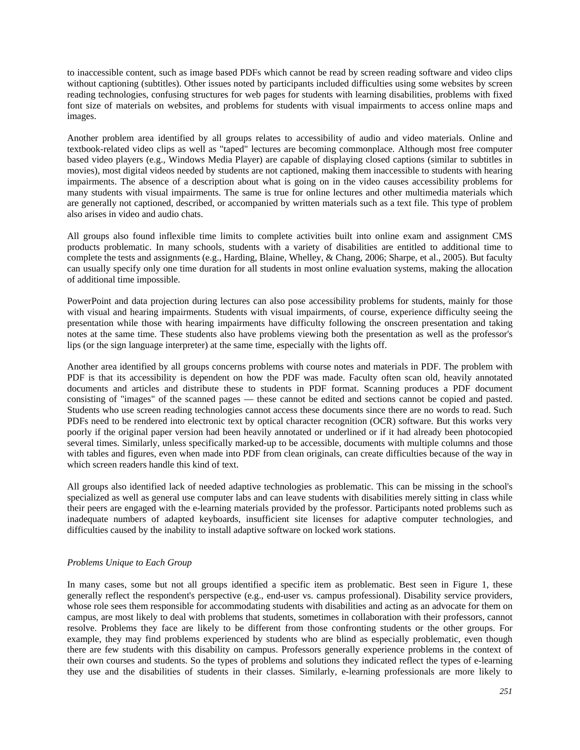to inaccessible content, such as image based PDFs which cannot be read by screen reading software and video clips without captioning (subtitles). Other issues noted by participants included difficulties using some websites by screen reading technologies, confusing structures for web pages for students with learning disabilities, problems with fixed font size of materials on websites, and problems for students with visual impairments to access online maps and images.

Another problem area identified by all groups relates to accessibility of audio and video materials. Online and textbook-related video clips as well as "taped" lectures are becoming commonplace. Although most free computer based video players (e.g., Windows Media Player) are capable of displaying closed captions (similar to subtitles in movies), most digital videos needed by students are not captioned, making them inaccessible to students with hearing impairments. The absence of a description about what is going on in the video causes accessibility problems for many students with visual impairments. The same is true for online lectures and other multimedia materials which are generally not captioned, described, or accompanied by written materials such as a text file. This type of problem also arises in video and audio chats.

All groups also found inflexible time limits to complete activities built into online exam and assignment CMS products problematic. In many schools, students with a variety of disabilities are entitled to additional time to complete the tests and assignments (e.g., Harding, Blaine, Whelley, & Chang, 2006; Sharpe, et al., 2005). But faculty can usually specify only one time duration for all students in most online evaluation systems, making the allocation of additional time impossible.

PowerPoint and data projection during lectures can also pose accessibility problems for students, mainly for those with visual and hearing impairments. Students with visual impairments, of course, experience difficulty seeing the presentation while those with hearing impairments have difficulty following the onscreen presentation and taking notes at the same time. These students also have problems viewing both the presentation as well as the professor's lips (or the sign language interpreter) at the same time, especially with the lights off.

Another area identified by all groups concerns problems with course notes and materials in PDF. The problem with PDF is that its accessibility is dependent on how the PDF was made. Faculty often scan old, heavily annotated documents and articles and distribute these to students in PDF format. Scanning produces a PDF document consisting of "images" of the scanned pages — these cannot be edited and sections cannot be copied and pasted. Students who use screen reading technologies cannot access these documents since there are no words to read. Such PDFs need to be rendered into electronic text by optical character recognition (OCR) software. But this works very poorly if the original paper version had been heavily annotated or underlined or if it had already been photocopied several times. Similarly, unless specifically marked-up to be accessible, documents with multiple columns and those with tables and figures, even when made into PDF from clean originals, can create difficulties because of the way in which screen readers handle this kind of text.

All groups also identified lack of needed adaptive technologies as problematic. This can be missing in the school's specialized as well as general use computer labs and can leave students with disabilities merely sitting in class while their peers are engaged with the e-learning materials provided by the professor. Participants noted problems such as inadequate numbers of adapted keyboards, insufficient site licenses for adaptive computer technologies, and difficulties caused by the inability to install adaptive software on locked work stations.

## *Problems Unique to Each Group*

In many cases, some but not all groups identified a specific item as problematic. Best seen in Figure 1, these generally reflect the respondent's perspective (e.g., end-user vs. campus professional). Disability service providers, whose role sees them responsible for accommodating students with disabilities and acting as an advocate for them on campus, are most likely to deal with problems that students, sometimes in collaboration with their professors, cannot resolve. Problems they face are likely to be different from those confronting students or the other groups. For example, they may find problems experienced by students who are blind as especially problematic, even though there are few students with this disability on campus. Professors generally experience problems in the context of their own courses and students. So the types of problems and solutions they indicated reflect the types of e-learning they use and the disabilities of students in their classes. Similarly, e-learning professionals are more likely to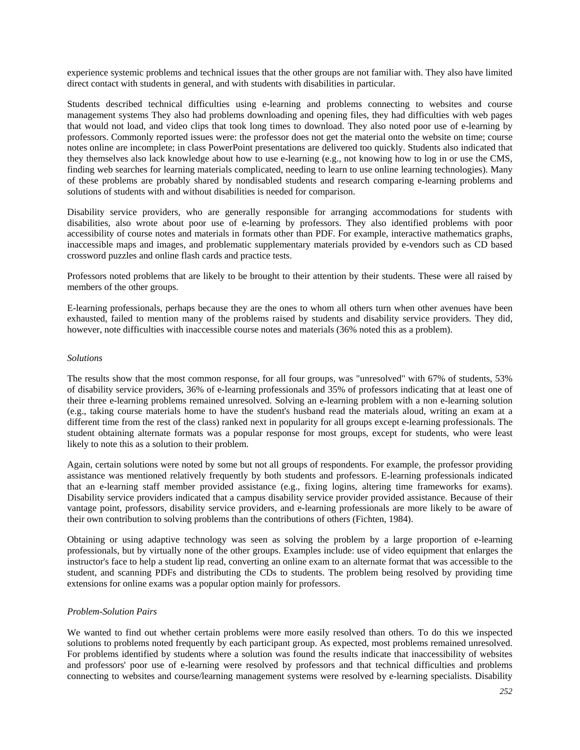experience systemic problems and technical issues that the other groups are not familiar with. They also have limited direct contact with students in general, and with students with disabilities in particular.

Students described technical difficulties using e-learning and problems connecting to websites and course management systems They also had problems downloading and opening files, they had difficulties with web pages that would not load, and video clips that took long times to download. They also noted poor use of e-learning by professors. Commonly reported issues were: the professor does not get the material onto the website on time; course notes online are incomplete; in class PowerPoint presentations are delivered too quickly. Students also indicated that they themselves also lack knowledge about how to use e-learning (e.g., not knowing how to log in or use the CMS, finding web searches for learning materials complicated, needing to learn to use online learning technologies). Many of these problems are probably shared by nondisabled students and research comparing e-learning problems and solutions of students with and without disabilities is needed for comparison.

Disability service providers, who are generally responsible for arranging accommodations for students with disabilities, also wrote about poor use of e-learning by professors. They also identified problems with poor accessibility of course notes and materials in formats other than PDF. For example, interactive mathematics graphs, inaccessible maps and images, and problematic supplementary materials provided by e-vendors such as CD based crossword puzzles and online flash cards and practice tests.

Professors noted problems that are likely to be brought to their attention by their students. These were all raised by members of the other groups.

E-learning professionals, perhaps because they are the ones to whom all others turn when other avenues have been exhausted, failed to mention many of the problems raised by students and disability service providers. They did, however, note difficulties with inaccessible course notes and materials (36% noted this as a problem).

#### *Solutions*

The results show that the most common response, for all four groups, was "unresolved" with 67% of students, 53% of disability service providers, 36% of e-learning professionals and 35% of professors indicating that at least one of their three e-learning problems remained unresolved. Solving an e-learning problem with a non e-learning solution (e.g., taking course materials home to have the student's husband read the materials aloud, writing an exam at a different time from the rest of the class) ranked next in popularity for all groups except e-learning professionals. The student obtaining alternate formats was a popular response for most groups, except for students, who were least likely to note this as a solution to their problem.

Again, certain solutions were noted by some but not all groups of respondents. For example, the professor providing assistance was mentioned relatively frequently by both students and professors. E-learning professionals indicated that an e-learning staff member provided assistance (e.g., fixing logins, altering time frameworks for exams). Disability service providers indicated that a campus disability service provider provided assistance. Because of their vantage point, professors, disability service providers, and e-learning professionals are more likely to be aware of their own contribution to solving problems than the contributions of others (Fichten, 1984).

Obtaining or using adaptive technology was seen as solving the problem by a large proportion of e-learning professionals, but by virtually none of the other groups. Examples include: use of video equipment that enlarges the instructor's face to help a student lip read, converting an online exam to an alternate format that was accessible to the student, and scanning PDFs and distributing the CDs to students. The problem being resolved by providing time extensions for online exams was a popular option mainly for professors.

#### *Problem-Solution Pairs*

We wanted to find out whether certain problems were more easily resolved than others. To do this we inspected solutions to problems noted frequently by each participant group. As expected, most problems remained unresolved. For problems identified by students where a solution was found the results indicate that inaccessibility of websites and professors' poor use of e-learning were resolved by professors and that technical difficulties and problems connecting to websites and course/learning management systems were resolved by e-learning specialists. Disability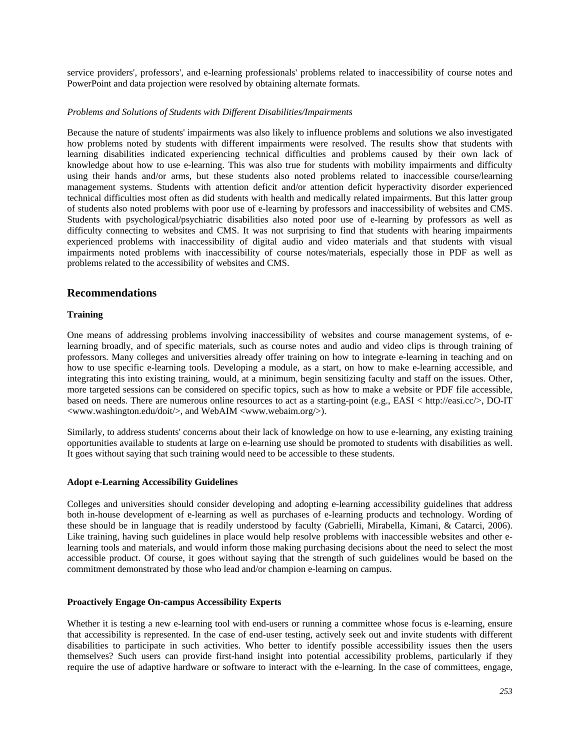service providers', professors', and e-learning professionals' problems related to inaccessibility of course notes and PowerPoint and data projection were resolved by obtaining alternate formats.

### *Problems and Solutions of Students with Different Disabilities/Impairments*

Because the nature of students' impairments was also likely to influence problems and solutions we also investigated how problems noted by students with different impairments were resolved. The results show that students with learning disabilities indicated experiencing technical difficulties and problems caused by their own lack of knowledge about how to use e-learning. This was also true for students with mobility impairments and difficulty using their hands and/or arms, but these students also noted problems related to inaccessible course/learning management systems. Students with attention deficit and/or attention deficit hyperactivity disorder experienced technical difficulties most often as did students with health and medically related impairments. But this latter group of students also noted problems with poor use of e-learning by professors and inaccessibility of websites and CMS. Students with psychological/psychiatric disabilities also noted poor use of e-learning by professors as well as difficulty connecting to websites and CMS. It was not surprising to find that students with hearing impairments experienced problems with inaccessibility of digital audio and video materials and that students with visual impairments noted problems with inaccessibility of course notes/materials, especially those in PDF as well as problems related to the accessibility of websites and CMS.

## **Recommendations**

### **Training**

One means of addressing problems involving inaccessibility of websites and course management systems, of elearning broadly, and of specific materials, such as course notes and audio and video clips is through training of professors. Many colleges and universities already offer training on how to integrate e-learning in teaching and on how to use specific e-learning tools. Developing a module, as a start, on how to make e-learning accessible, and integrating this into existing training, would, at a minimum, begin sensitizing faculty and staff on the issues. Other, more targeted sessions can be considered on specific topics, such as how to make a website or PDF file accessible, based on needs. There are numerous online resources to act as a starting-point (e.g., EASI < http://easi.cc/>, DO-IT <www.washington.edu/doit/>, and WebAIM <www.webaim.org/>).

Similarly, to address students' concerns about their lack of knowledge on how to use e-learning, any existing training opportunities available to students at large on e-learning use should be promoted to students with disabilities as well. It goes without saying that such training would need to be accessible to these students.

## **Adopt e-Learning Accessibility Guidelines**

Colleges and universities should consider developing and adopting e-learning accessibility guidelines that address both in-house development of e-learning as well as purchases of e-learning products and technology. Wording of these should be in language that is readily understood by faculty (Gabrielli, Mirabella, Kimani, & Catarci, 2006). Like training, having such guidelines in place would help resolve problems with inaccessible websites and other elearning tools and materials, and would inform those making purchasing decisions about the need to select the most accessible product. Of course, it goes without saying that the strength of such guidelines would be based on the commitment demonstrated by those who lead and/or champion e-learning on campus.

#### **Proactively Engage On-campus Accessibility Experts**

Whether it is testing a new e-learning tool with end-users or running a committee whose focus is e-learning, ensure that accessibility is represented. In the case of end-user testing, actively seek out and invite students with different disabilities to participate in such activities. Who better to identify possible accessibility issues then the users themselves? Such users can provide first-hand insight into potential accessibility problems, particularly if they require the use of adaptive hardware or software to interact with the e-learning. In the case of committees, engage,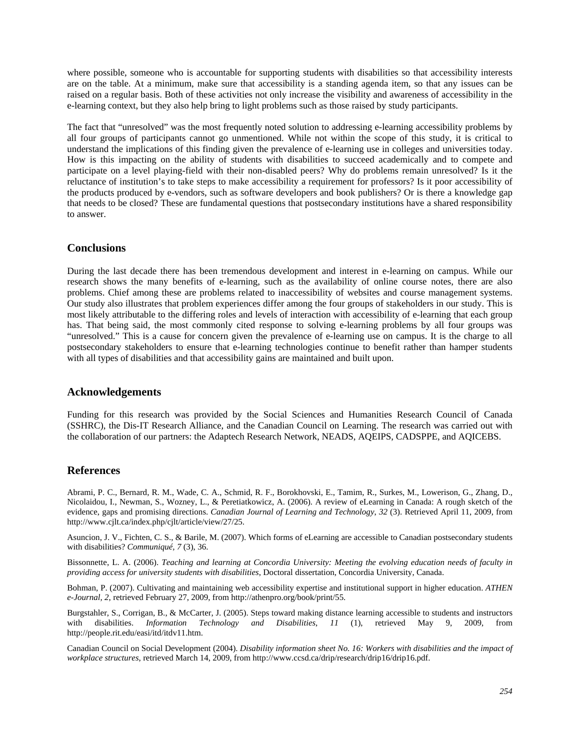where possible, someone who is accountable for supporting students with disabilities so that accessibility interests are on the table. At a minimum, make sure that accessibility is a standing agenda item, so that any issues can be raised on a regular basis. Both of these activities not only increase the visibility and awareness of accessibility in the e-learning context, but they also help bring to light problems such as those raised by study participants.

The fact that "unresolved" was the most frequently noted solution to addressing e-learning accessibility problems by all four groups of participants cannot go unmentioned. While not within the scope of this study, it is critical to understand the implications of this finding given the prevalence of e-learning use in colleges and universities today. How is this impacting on the ability of students with disabilities to succeed academically and to compete and participate on a level playing-field with their non-disabled peers? Why do problems remain unresolved? Is it the reluctance of institution's to take steps to make accessibility a requirement for professors? Is it poor accessibility of the products produced by e-vendors, such as software developers and book publishers? Or is there a knowledge gap that needs to be closed? These are fundamental questions that postsecondary institutions have a shared responsibility to answer.

## **Conclusions**

During the last decade there has been tremendous development and interest in e-learning on campus. While our research shows the many benefits of e-learning, such as the availability of online course notes, there are also problems. Chief among these are problems related to inaccessibility of websites and course management systems. Our study also illustrates that problem experiences differ among the four groups of stakeholders in our study. This is most likely attributable to the differing roles and levels of interaction with accessibility of e-learning that each group has. That being said, the most commonly cited response to solving e-learning problems by all four groups was "unresolved." This is a cause for concern given the prevalence of e-learning use on campus. It is the charge to all postsecondary stakeholders to ensure that e-learning technologies continue to benefit rather than hamper students with all types of disabilities and that accessibility gains are maintained and built upon.

## **Acknowledgements**

Funding for this research was provided by the Social Sciences and Humanities Research Council of Canada (SSHRC), the Dis-IT Research Alliance, and the Canadian Council on Learning. The research was carried out with the collaboration of our partners: the Adaptech Research Network, NEADS, AQEIPS, CADSPPE, and AQICEBS.

## **References**

Abrami, P. C., Bernard, R. M., Wade, C. A., Schmid, R. F., Borokhovski, E., Tamim, R., Surkes, M., Lowerison, G., Zhang, D., Nicolaidou, I., Newman, S., Wozney, L., & Peretiatkowicz, A. (2006). A review of eLearning in Canada: A rough sketch of the evidence, gaps and promising directions. *Canadian Journal of Learning and Technology*, *32* (3). Retrieved April 11, 2009, from http://www.cjlt.ca/index.php/cjlt/article/view/27/25.

Asuncion, J. V., Fichten, C. S., & Barile, M. (2007). Which forms of eLearning are accessible to Canadian postsecondary students with disabilities? *Communiqué, 7* (3), 36.

Bissonnette, L. A. (2006). *Teaching and learning at Concordia University: Meeting the evolving education needs of faculty in providing access for university students with disabilities*, Doctoral dissertation, Concordia University, Canada.

Bohman, P. (2007). Cultivating and maintaining web accessibility expertise and institutional support in higher education. *ATHEN e-Journal, 2*, retrieved February 27, 2009, from http://athenpro.org/book/print/55.

Burgstahler, S., Corrigan, B., & McCarter, J. (2005). Steps toward making distance learning accessible to students and instructors with disabilities. *Information Technology and Disabilities*, *11* (1), retrieved May 9, 2009, from http://people.rit.edu/easi/itd/itdv11.htm.

Canadian Council on Social Development (2004). *Disability information sheet No. 16: Workers with disabilities and the impact of workplace structures*, retrieved March 14, 2009, from http://www.ccsd.ca/drip/research/drip16/drip16.pdf.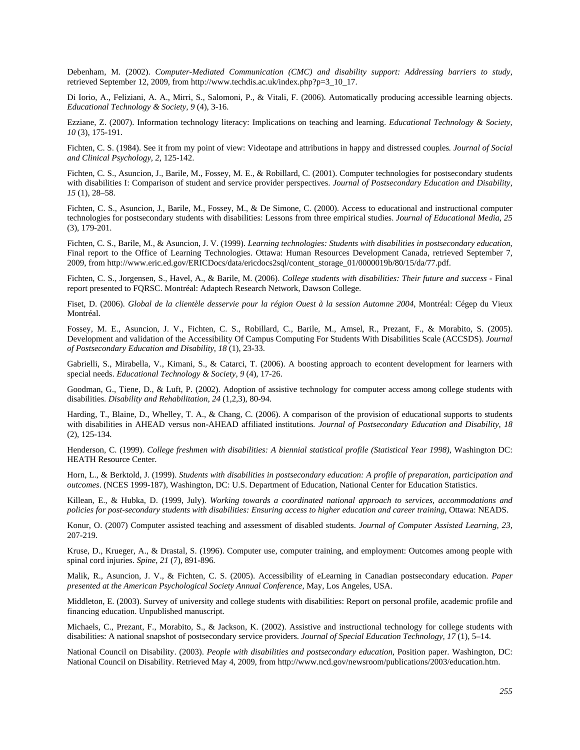Debenham, M. (2002). *Computer-Mediated Communication (CMC) and disability support: Addressing barriers to study*, retrieved September 12, 2009, from http://www.techdis.ac.uk/index.php?p=3\_10\_17.

Di Iorio, A., Feliziani, A. A., Mirri, S., Salomoni, P., & Vitali, F. (2006). Automatically producing accessible learning objects. *Educational Technology & Society, 9* (4), 3-16.

Ezziane, Z. (2007). Information technology literacy: Implications on teaching and learning. *Educational Technology & Society, 10* (3), 175-191.

Fichten, C. S. (1984). See it from my point of view: Videotape and attributions in happy and distressed couples*. Journal of Social and Clinical Psychology*, *2*, 125-142.

Fichten, C. S., Asuncion, J., Barile, M., Fossey, M. E., & Robillard, C. (2001). Computer technologies for postsecondary students with disabilities I: Comparison of student and service provider perspectives. *Journal of Postsecondary Education and Disability, 15* (1), 28–58.

Fichten, C. S., Asuncion, J., Barile, M., Fossey, M., & De Simone, C. (2000). Access to educational and instructional computer technologies for postsecondary students with disabilities: Lessons from three empirical studies. *Journal of Educational Media, 25*  (3), 179-201.

Fichten, C. S., Barile, M., & Asuncion, J. V. (1999). *Learning technologies: Students with disabilities in postsecondary education*, Final report to the Office of Learning Technologies. Ottawa: Human Resources Development Canada, retrieved September 7, 2009, from http://www.eric.ed.gov/ERICDocs/data/ericdocs2sql/content\_storage\_01/0000019b/80/15/da/77.pdf.

Fichten, C. S., Jorgensen, S., Havel, A., & Barile, M. (2006). *College students with disabilities: Their future and success* - Final report presented to FQRSC. Montréal: Adaptech Research Network, Dawson College.

Fiset, D. (2006). *Global de la clientèle desservie pour la région Ouest à la session Automne 2004*, Montréal: Cégep du Vieux Montréal.

Fossey, M. E., Asuncion, J. V., Fichten, C. S., Robillard, C., Barile, M., Amsel, R., Prezant, F., & Morabito, S. (2005). Development and validation of the Accessibility Of Campus Computing For Students With Disabilities Scale (ACCSDS). *Journal of Postsecondary Education and Disability*, *18* (1), 23-33.

Gabrielli, S., Mirabella, V., Kimani, S., & Catarci, T. (2006). A boosting approach to econtent development for learners with special needs. *Educational Technology & Society, 9* (4), 17-26.

Goodman, G., Tiene, D., & Luft, P. (2002). Adoption of assistive technology for computer access among college students with disabilities. *Disability and Rehabilitation*, *24* (1,2,3), 80-94.

Harding, T., Blaine, D., Whelley, T. A., & Chang, C. (2006). A comparison of the provision of educational supports to students with disabilities in AHEAD versus non-AHEAD affiliated institutions*. Journal of Postsecondary Education and Disability*, *18*  (2), 125-134.

Henderson, C. (1999). *College freshmen with disabilities: A biennial statistical profile (Statistical Year 1998)*, Washington DC: HEATH Resource Center.

Horn, L., & Berktold, J. (1999). *Students with disabilities in postsecondary education: A profile of preparation, participation and outcomes*. (NCES 1999-187), Washington, DC: U.S. Department of Education, National Center for Education Statistics.

Killean, E., & Hubka, D. (1999, July). *Working towards a coordinated national approach to services, accommodations and policies for post-secondary students with disabilities: Ensuring access to higher education and career training*, Ottawa: NEADS.

Konur, O. (2007) Computer assisted teaching and assessment of disabled students. *Journal of Computer Assisted Learning*, *23*, 207-219.

Kruse, D., Krueger, A., & Drastal, S. (1996). Computer use, computer training, and employment: Outcomes among people with spinal cord injuries. *Spine*, *21* (7), 891-896.

Malik, R., Asuncion, J. V., & Fichten, C. S. (2005). Accessibility of eLearning in Canadian postsecondary education. *Paper presented at the American Psychological Society Annual Conference*, May, Los Angeles, USA.

Middleton, E. (2003). Survey of university and college students with disabilities: Report on personal profile, academic profile and financing education. Unpublished manuscript.

Michaels, C., Prezant, F., Morabito, S., & Jackson, K. (2002). Assistive and instructional technology for college students with disabilities: A national snapshot of postsecondary service providers. *Journal of Special Education Technology, 17* (1), 5–14.

National Council on Disability. (2003). *People with disabilities and postsecondary education*, Position paper. Washington, DC: National Council on Disability. Retrieved May 4, 2009, from http://www.ncd.gov/newsroom/publications/2003/education.htm.